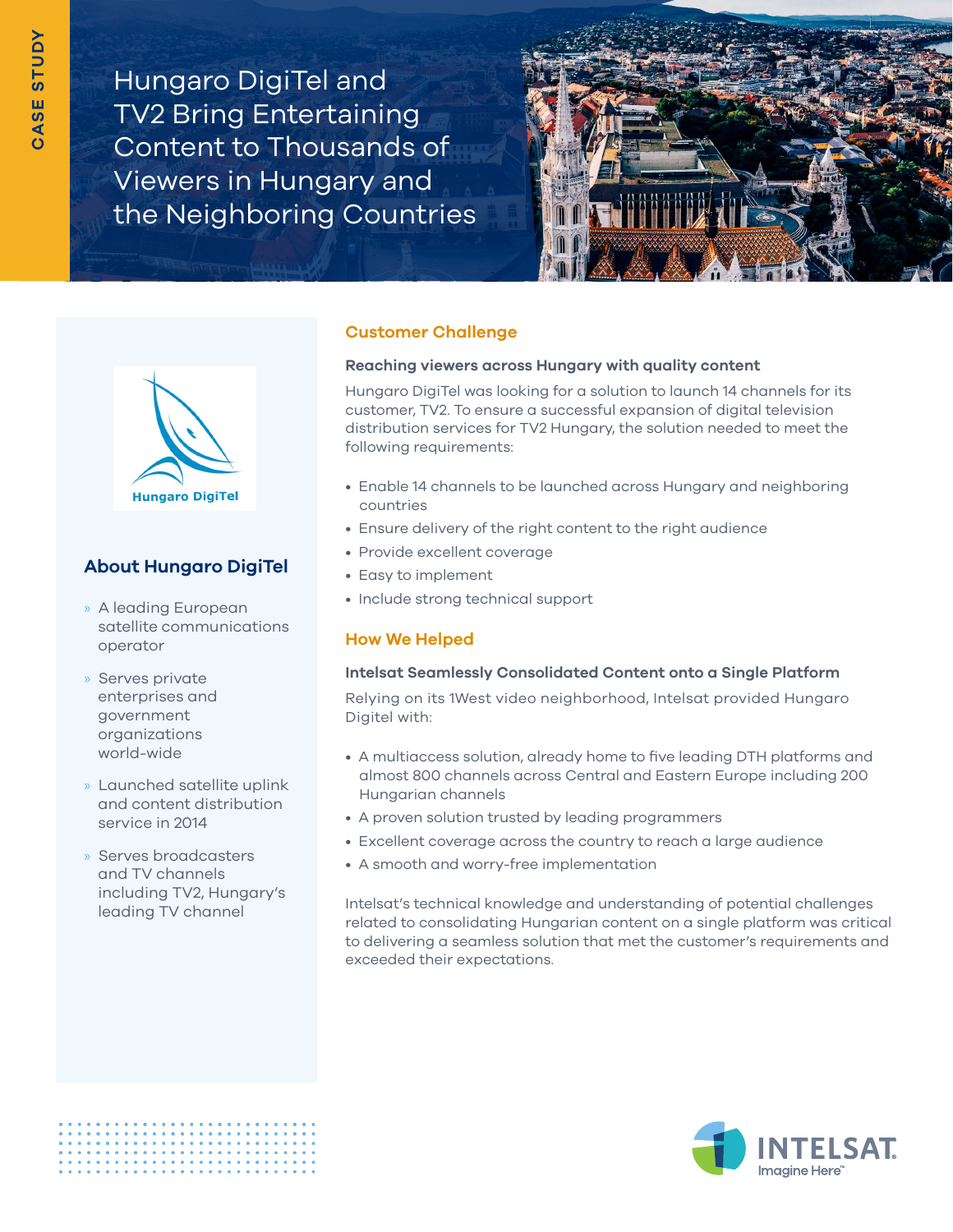Hungaro DigiTel and TV2 Bring Entertaining Content to Thousands of Viewers in Hungary and the Neighboring Countries





# **[About Hungaro DigiTel](https://www.hdt.hu)**

- » A leading European satellite communications operator
- » Serves private enterprises and government organizations world-wide
- » Launched satellite uplink and content distribution service in 2014
- » Serves broadcasters and TV channels including TV2, Hungary's leading TV channel

### **Customer Challenge**

#### **Reaching viewers across Hungary with quality content**

Hungaro DigiTel was looking for a solution to launch 14 channels for its customer, TV2. To ensure a successful expansion of digital television distribution services for TV2 Hungary, the solution needed to meet the following requirements:

- Enable 14 channels to be launched across Hungary and neighboring countries
- Ensure delivery of the right content to the right audience
- Provide excellent coverage
- Easy to implement
- Include strong technical support

## **How We Helped**

### **Intelsat Seamlessly Consolidated Content onto a Single Platform**

Relying on its 1West video neighborhood, Intelsat provided Hungaro Digitel with:

- A multiaccess solution, already home to five leading DTH platforms and almost 800 channels across Central and Eastern Europe including 200 Hungarian channels
- A proven solution trusted by leading programmers
- Excellent coverage across the country to reach a large audience
- A smooth and worry-free implementation

Intelsat's technical knowledge and understanding of potential challenges related to consolidating Hungarian content on a single platform was critical to delivering a seamless solution that met the customer's requirements and exceeded their expectations.